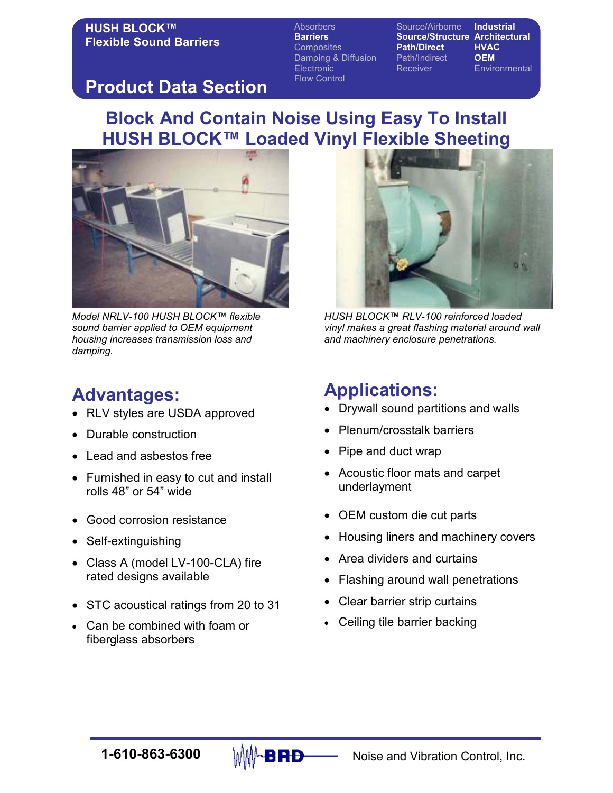Absorbers Source/Airborne Industrial Barriers Source/Structure Architectural Composites **Path/Direct HVAC** Damping & Diffusion Path/Indirect **OEM** Electronic Receiver Environmental Flow Control

## Product Data Section

## Block And Contain Noise Using Easy To Install HUSH BLOCK™ Loaded Vinyl Flexible Sheeting



Model NRLV-100 HUSH BLOCK™ flexible sound barrier applied to OEM equipment housing increases transmission loss and damping.

## Advantages:

- RLV styles are USDA approved
- Durable construction
- Lead and asbestos free
- Furnished in easy to cut and install rolls 48" or 54" wide
- Good corrosion resistance
- Self-extinguishing
- Class A (model LV-100-CLA) fire rated designs available
- STC acoustical ratings from 20 to 31
- Can be combined with foam or fiberglass absorbers



HUSH BLOCK™ RLV-100 reinforced loaded vinyl makes a great flashing material around wall and machinery enclosure penetrations.

## Applications:

- Drywall sound partitions and walls
- Plenum/crosstalk barriers
- Pipe and duct wrap
- Acoustic floor mats and carpet underlayment
- OEM custom die cut parts
- Housing liners and machinery covers
- Area dividers and curtains
- Flashing around wall penetrations
- Clear barrier strip curtains
- Ceiling tile barrier backing

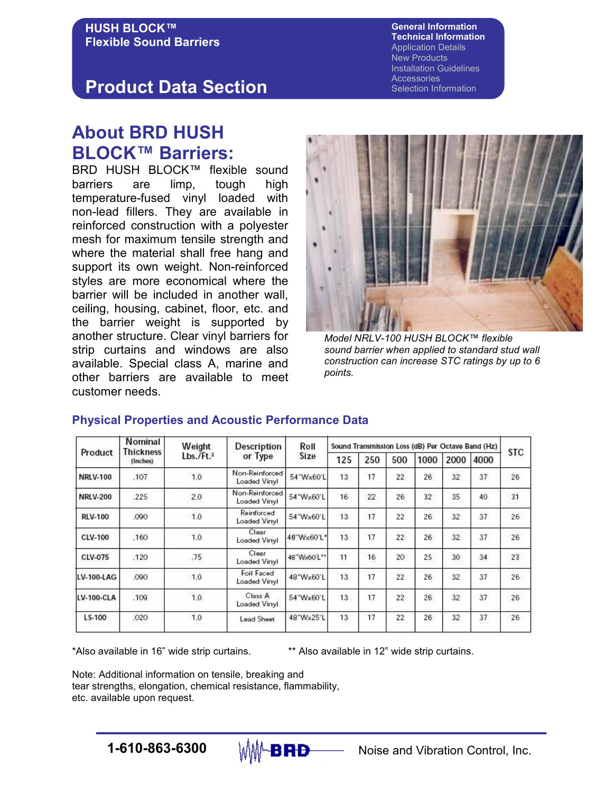#### General Information Technical Information Application Details New Products Installation Guidelines **Accessories** Selection Information

## Product Data Section

## About BRD HUSH BLOCK™ Barriers:

BRD HUSH BLOCK™ flexible sound barriers are limp, tough high temperature-fused vinyl loaded with non-lead fillers. They are available in reinforced construction with a polyester mesh for maximum tensile strength and where the material shall free hang and support its own weight. Non-reinforced styles are more economical where the barrier will be included in another wall, ceiling, housing, cabinet, floor, etc. and the barrier weight is supported by another structure. Clear vinyl barriers for strip curtains and windows are also available. Special class A, marine and other barriers are available to meet customer needs.



Model NRLV-100 HUSH BLOCK™ flexible sound barrier when applied to standard stud wall construction can increase STC ratings by up to 6 points.

| Product         | Nominal<br><b>Thickness</b><br>(Inches) | Weight<br>$Lbs./Ft.^2$ | Description<br>or Type         | Roll<br>Size | Sound Transmission Loss (dB) Per Octave Band (Hz) |     |                 |      |      |      |            |
|-----------------|-----------------------------------------|------------------------|--------------------------------|--------------|---------------------------------------------------|-----|-----------------|------|------|------|------------|
|                 |                                         |                        |                                |              | 125                                               | 250 | 500             | 1000 | 2000 | 4000 | <b>STC</b> |
| <b>NRLV-100</b> | .107                                    | 1.0                    | Non-Reinforced<br>Loaded Vinyl | 54"Wx60'L    | 13                                                | 17  | $\overline{22}$ | 26   | 32   | 37   | 26         |
| <b>NRLV-200</b> | .225                                    | 2.0                    | Non-Reinforced<br>Loaded Vinyl | 54"Wx60'L    | 16                                                | 22  | 26              | 32   | 35   | 40   | 31         |
| <b>RLV-100</b>  | .090                                    | 1.0                    | Reinforced<br>Loaded Vinyl     | 54"Wx60'L    | 13                                                | 17  | 22              | 26   | 32   | 37   | 26         |
| <b>CLV-100</b>  | .160                                    | 1.0                    | Clear<br>Loaded Vinyl          | 48"Wx60'L*   | 13                                                | 17  | 22              | 26   | 32   | 37   | 26         |
| CLV-075         | .120                                    | .75                    | Clear<br>Loaded Vinyl          | 48"Wx60'L**  | 11                                                | 16  | 20              | 25   | 30   | 34   | 23         |
| LV-100-LAG      | .090                                    | 1.0                    | Foil Faced<br>Loaded Vinyl     | 48"Wx60'L    | 13                                                | 17  | 22              | 26   | 32   | 37   | 26         |
| LV-100-CLA      | .109                                    | 1.0                    | Class A<br>Loaded Vinyl        | 54"Wx60'L    | 13                                                | 17  | 22              | 26   | 32   | 37   | 26         |
| LS-100          | .020                                    | 1.0                    | Lead Sheet                     | 48"Wx25'L    | 13                                                | 17  | 22              | 26   | 32   | 37   | 26         |

### Physical Properties and Acoustic Performance Data

\*Also available in 16" wide strip curtains. \*\* Also available in 12" wide strip curtains.

Note: Additional information on tensile, breaking and tear strengths, elongation, chemical resistance, flammability, etc. available upon request.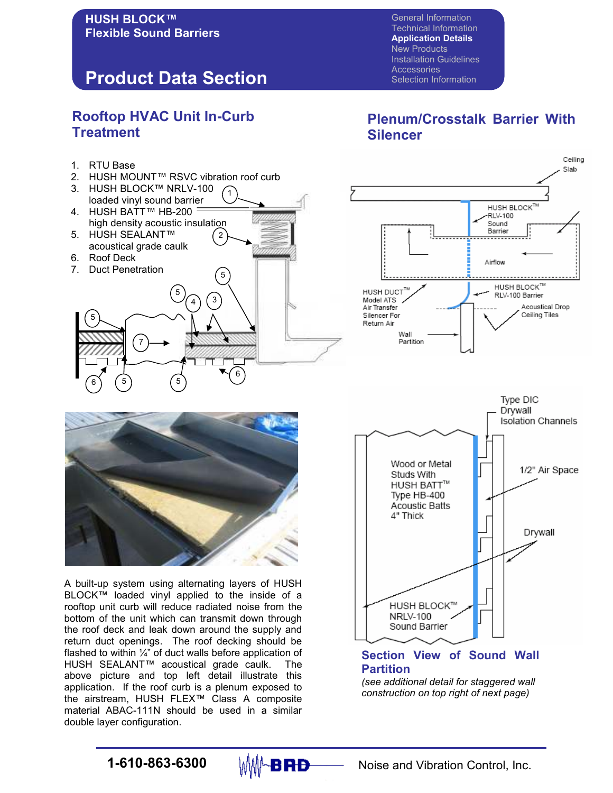## Product Data Section

### Rooftop HVAC Unit In-Curb **Treatment**

- 1. RTU Base
- 2. HUSH MOUNT™ RSVC vibration roof curb

5

5

5

6

3

- 1 3. HUSH BLOCK™ NRLV-100 loaded vinyl sound barrier
- 2 4. HUSH BATT™ HB-200 high density acoustic insulation 5. HUSH SEALANT™
- acoustical grade caulk 6. Roof Deck

7

7. Duct Penetration

6) (5

5

## Plenum/Crosstalk Barrier With Silencer

General Information Technical Information Application Details New Products Installation Guidelines

Selection Information

**Accessories** 





A built-up system using alternating layers of HUSH BLOCK™ loaded vinyl applied to the inside of a rooftop unit curb will reduce radiated noise from the bottom of the unit which can transmit down through the roof deck and leak down around the supply and return duct openings. The roof decking should be flashed to within  $\frac{1}{4}$ " of duct walls before application of HUSH SEALANT™ acoustical grade caulk. The above picture and top left detail illustrate this application. If the roof curb is a plenum exposed to the airstream, HUSH FLEX™ Class A composite material ABAC-111N should be used in a similar double layer configuration.



### Section View of Sound Wall **Partition**

(see additional detail for staggered wall construction on top right of next page)